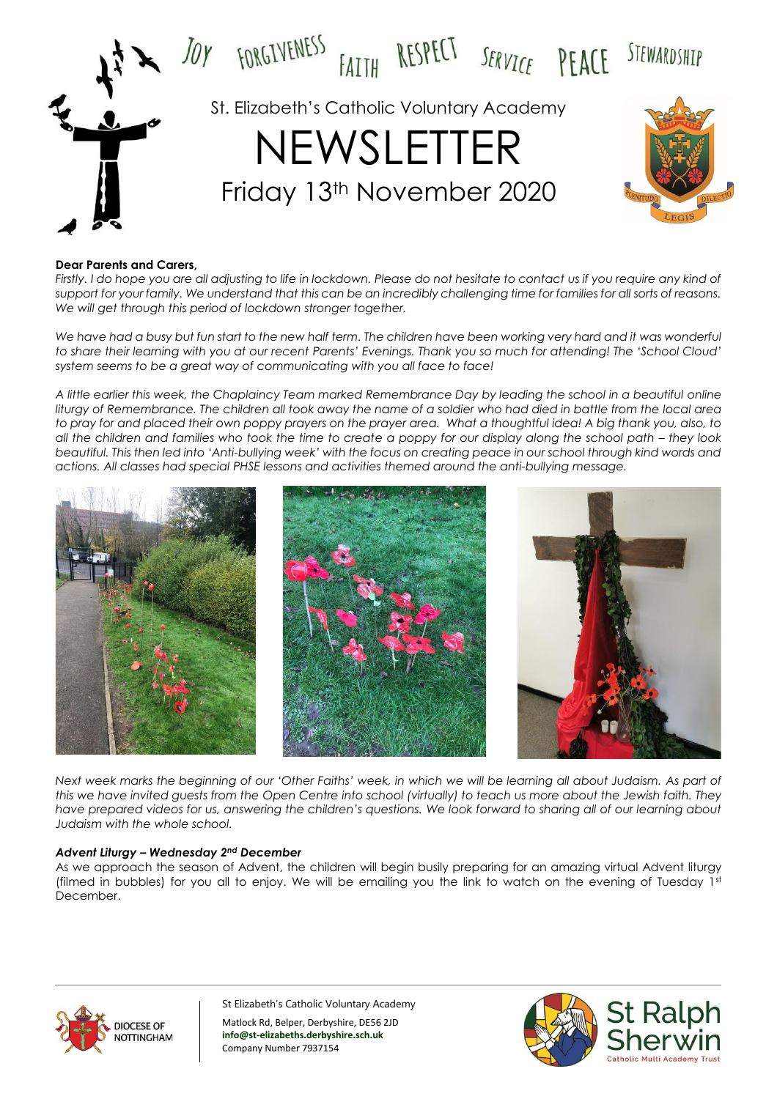

#### **Dear Parents and Carers,**

*Firstly. I do hope you are all adjusting to life in lockdown. Please do not hesitate to contact us if you require any kind of support for your family. We understand that this can be an incredibly challenging time for families for all sorts of reasons. We will get through this period of lockdown stronger together.*

*We have had a busy but fun start to the new half term. The children have been working very hard and it was wonderful to share their learning with you at our recent Parents' Evenings. Thank you so much for attending! The 'School Cloud' system seems to be a great way of communicating with you all face to face!*

*A little earlier this week, the Chaplaincy Team marked Remembrance Day by leading the school in a beautiful online liturgy of Remembrance. The children all took away the name of a soldier who had died in battle from the local area to pray for and placed their own poppy prayers on the prayer area. What a thoughtful idea! A big thank you, also, to*  all the children and families who took the time to create a poppy for our display along the school path – they look *beautiful. This then led into 'Anti-bullying week' with the focus on creating peace in our school through kind words and actions. All classes had special PHSE lessons and activities themed around the anti-bullying message.*



*Next week marks the beginning of our 'Other Faiths' week, in which we will be learning all about Judaism. As part of this we have invited guests from the Open Centre into school (virtually) to teach us more about the Jewish faith. They have prepared videos for us, answering the children's questions. We look forward to sharing all of our learning about Judaism with the whole school.* 

#### *Advent Liturgy – Wednesday 2nd December*

As we approach the season of Advent, the children will begin busily preparing for an amazing virtual Advent liturgy (filmed in bubbles) for you all to enjoy. We will be emailing you the link to watch on the evening of Tuesday  $1<sup>st</sup>$ December.



St Elizabeth's Catholic Voluntary Academy Matlock Rd, Belper, Derbyshire, DE56 2JD **info@st-elizabeths.derbyshire.sch.uk**

Company Number 7937154

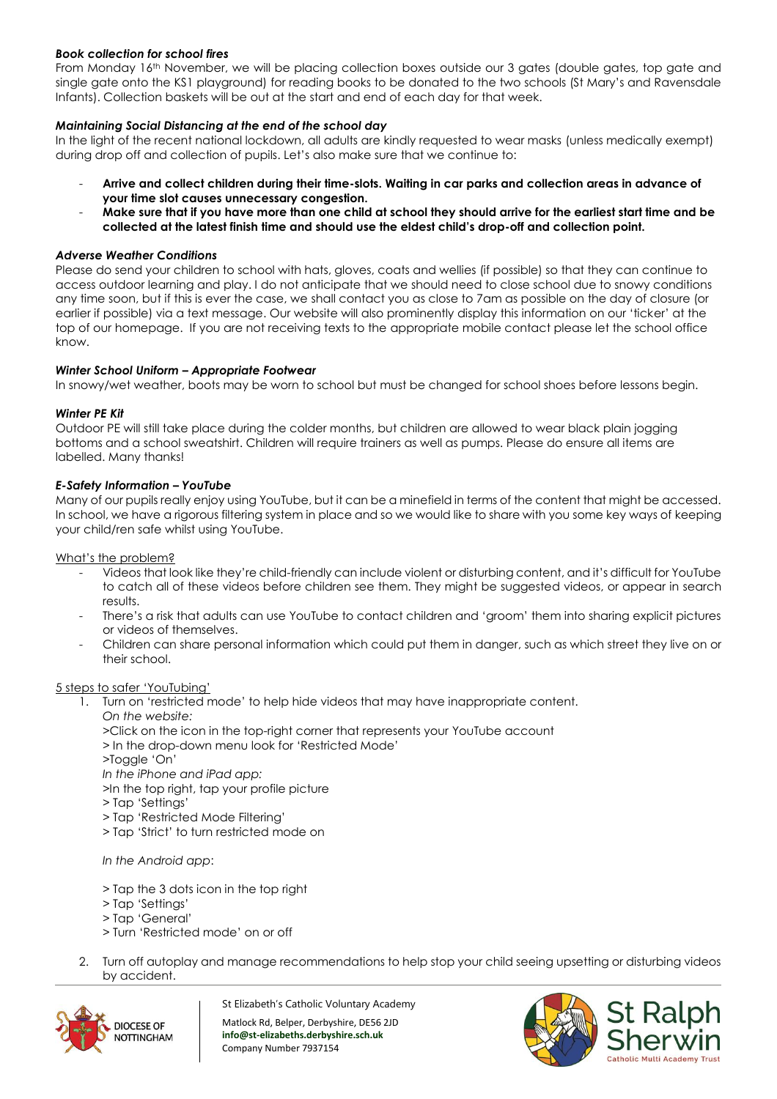# *Book collection for school fires*

From Monday 16th November, we will be placing collection boxes outside our 3 gates (double gates, top gate and single gate onto the KS1 playground) for reading books to be donated to the two schools (St Mary's and Ravensdale Infants). Collection baskets will be out at the start and end of each day for that week.

# *Maintaining Social Distancing at the end of the school day*

In the light of the recent national lockdown, all adults are kindly requested to wear masks (unless medically exempt) during drop off and collection of pupils. Let's also make sure that we continue to:

- **Arrive and collect children during their time-slots. Waiting in car parks and collection areas in advance of your time slot causes unnecessary congestion.**
- **Make sure that if you have more than one child at school they should arrive for the earliest start time and be collected at the latest finish time and should use the eldest child's drop-off and collection point.**

### *Adverse Weather Conditions*

Please do send your children to school with hats, gloves, coats and wellies (if possible) so that they can continue to access outdoor learning and play. I do not anticipate that we should need to close school due to snowy conditions any time soon, but if this is ever the case, we shall contact you as close to 7am as possible on the day of closure (or earlier if possible) via a text message. Our website will also prominently display this information on our 'ticker' at the top of our homepage. If you are not receiving texts to the appropriate mobile contact please let the school office know.

# *Winter School Uniform – Appropriate Footwear*

In snowy/wet weather, boots may be worn to school but must be changed for school shoes before lessons begin.

#### *Winter PE Kit*

Outdoor PE will still take place during the colder months, but children are allowed to wear black plain jogging bottoms and a school sweatshirt. Children will require trainers as well as pumps. Please do ensure all items are labelled. Many thanks!

# *E-Safety Information – YouTube*

Many of our pupils really enjoy using YouTube, but it can be a minefield in terms of the content that might be accessed. In school, we have a rigorous filtering system in place and so we would like to share with you some key ways of keeping your child/ren safe whilst using YouTube.

What's the problem?

- Videos that look like they're child-friendly can include violent or disturbing content, and it's difficult for YouTube to catch all of these videos before children see them. They might be suggested videos, or appear in search results.
- There's a risk that adults can use YouTube to contact children and 'groom' them into sharing explicit pictures or videos of themselves.
- Children can share personal information which could put them in danger, such as which street they live on or their school.

#### 5 steps to safer 'YouTubing'

- 1. Turn on 'restricted mode' to help hide videos that may have inappropriate content. *On the website:* 
	- >Click on the icon in the top-right corner that represents your YouTube account
	- > In the drop-down menu look for 'Restricted Mode'
	- >Toggle 'On'
	- *In the iPhone and iPad app:*
	- >In the top right, tap your profile picture
	- > Tap 'Settings'
	- > Tap 'Restricted Mode Filtering'
	- > Tap 'Strict' to turn restricted mode on

*In the Android app*:

- *>* Tap the 3 dots icon in the top right
- *>* Tap 'Settings'
- *>* Tap 'General'
- *>* Turn 'Restricted mode' on or off
- 2. Turn off autoplay and manage recommendations to help stop your child seeing upsetting or disturbing videos by accident.



St Elizabeth's Catholic Voluntary Academy

Matlock Rd, Belper, Derbyshire, DE56 2JD **info@st-elizabeths.derbyshire.sch.uk** Company Number 7937154

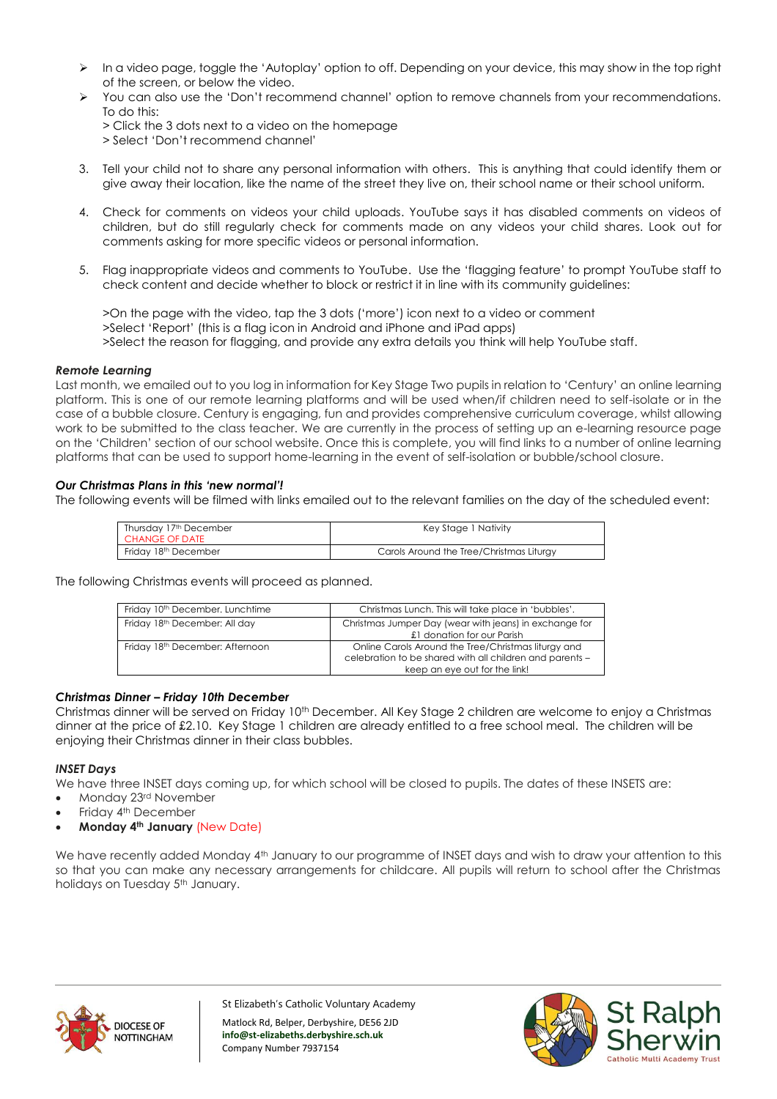- $\triangleright$  In a video page, toggle the 'Autoplay' option to off. Depending on your device, this may show in the top right of the screen, or below the video.
- You can also use the 'Don't recommend channel' option to remove channels from your recommendations. To do this:
	- > Click the 3 dots next to a video on the homepage > Select 'Don't recommend channel'
- 3. Tell your child not to share any personal information with others. This is anything that could identify them or give away their location, like the name of the street they live on, their school name or their school uniform.
- 4. Check for comments on videos your child uploads. YouTube says it has disabled comments on videos of children, but do still regularly check for comments made on any videos your child shares. Look out for comments asking for more specific videos or personal information.
- 5. Flag inappropriate videos and comments to YouTube. Use the 'flagging feature' to prompt YouTube staff to check content and decide whether to block or restrict it in line with its community guidelines:

>On the page with the video, tap the 3 dots ('more') icon next to a video or comment >Select 'Report' (this is a flag icon in Android and iPhone and iPad apps) >Select the reason for flagging, and provide any extra details you think will help YouTube staff.

# *Remote Learning*

Last month, we emailed out to you log in information for Key Stage Two pupils in relation to 'Century' an online learning platform. This is one of our remote learning platforms and will be used when/if children need to self-isolate or in the case of a bubble closure. Century is engaging, fun and provides comprehensive curriculum coverage, whilst allowing work to be submitted to the class teacher. We are currently in the process of setting up an e-learning resource page on the 'Children' section of our school website. Once this is complete, you will find links to a number of online learning platforms that can be used to support home-learning in the event of self-isolation or bubble/school closure.

# *Our Christmas Plans in this 'new normal'!*

The following events will be filmed with links emailed out to the relevant families on the day of the scheduled event:

| Thursday 17th December<br><b>CHANGE OF DATE</b> | Key Stage 1 Nativity                     |  |
|-------------------------------------------------|------------------------------------------|--|
| Friday 18 <sup>th</sup> December                | Carols Around the Tree/Christmas Liturgy |  |

The following Christmas events will proceed as planned.

| Friday 10 <sup>th</sup> December, Lunchtime | Christmas Lunch. This will take place in 'bubbles'.                                                                                              |  |
|---------------------------------------------|--------------------------------------------------------------------------------------------------------------------------------------------------|--|
| Friday 18th December: All day               | Christmas Jumper Day (wear with jeans) in exchange for<br>£1 donation for our Parish                                                             |  |
| Friday 18 <sup>th</sup> December: Afternoon | Online Carols Around the Tree/Christmas liturgy and<br>celebration to be shared with all children and parents -<br>keep an eye out for the link! |  |

#### *Christmas Dinner – Friday 10th December*

Christmas dinner will be served on Friday 10<sup>th</sup> December. All Key Stage 2 children are welcome to enjoy a Christmas dinner at the price of £2.10. Key Stage 1 children are already entitled to a free school meal. The children will be enjoying their Christmas dinner in their class bubbles.

#### *INSET Days*

We have three INSET days coming up, for which school will be closed to pupils. The dates of these INSETS are:

- Monday 23rd November
- Friday 4<sup>th</sup> December
- **Monday 4th January** (New Date)

We have recently added Monday 4<sup>th</sup> January to our programme of INSET days and wish to draw your attention to this so that you can make any necessary arrangements for childcare. All pupils will return to school after the Christmas holidays on Tuesday 5<sup>th</sup> January.



St Elizabeth's Catholic Voluntary Academy

Matlock Rd, Belper, Derbyshire, DE56 2JD **info@st-elizabeths.derbyshire.sch.uk** Company Number 7937154